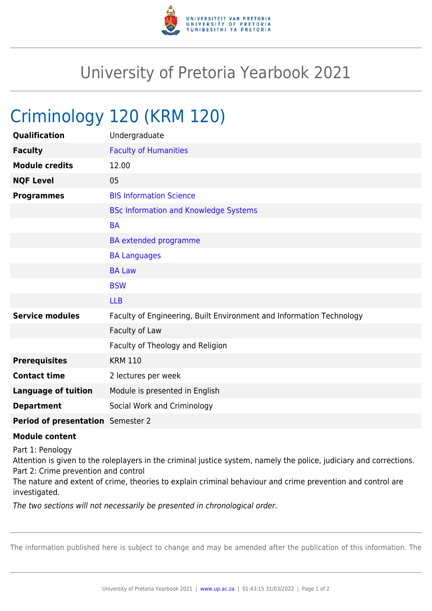

## University of Pretoria Yearbook 2021

## Criminology 120 (KRM 120)

| Qualification                     | Undergraduate                                                        |
|-----------------------------------|----------------------------------------------------------------------|
| <b>Faculty</b>                    | <b>Faculty of Humanities</b>                                         |
| <b>Module credits</b>             | 12.00                                                                |
| <b>NQF Level</b>                  | 05                                                                   |
| <b>Programmes</b>                 | <b>BIS Information Science</b>                                       |
|                                   | <b>BSc Information and Knowledge Systems</b>                         |
|                                   | <b>BA</b>                                                            |
|                                   | <b>BA</b> extended programme                                         |
|                                   | <b>BA Languages</b>                                                  |
|                                   | <b>BA Law</b>                                                        |
|                                   | <b>BSW</b>                                                           |
|                                   | <b>LLB</b>                                                           |
| <b>Service modules</b>            | Faculty of Engineering, Built Environment and Information Technology |
|                                   | Faculty of Law                                                       |
|                                   | Faculty of Theology and Religion                                     |
| <b>Prerequisites</b>              | <b>KRM 110</b>                                                       |
| <b>Contact time</b>               | 2 lectures per week                                                  |
| <b>Language of tuition</b>        | Module is presented in English                                       |
| <b>Department</b>                 | Social Work and Criminology                                          |
| Period of presentation Semester 2 |                                                                      |

## **Module content**

Part 1: Penology

Attention is given to the roleplayers in the criminal justice system, namely the police, judiciary and corrections. Part 2: Crime prevention and control

The nature and extent of crime, theories to explain criminal behaviour and crime prevention and control are investigated.

The two sections will not necessarily be presented in chronological order.

The information published here is subject to change and may be amended after the publication of this information. The